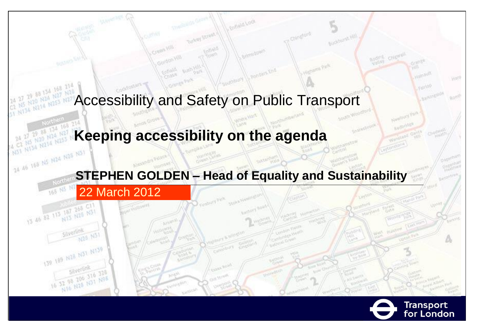

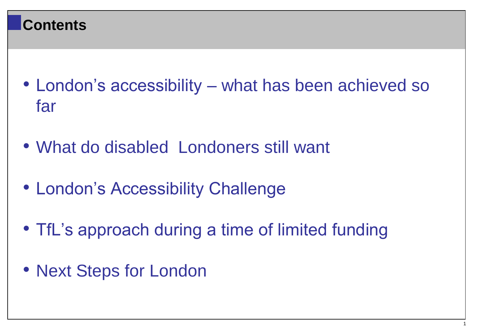#### **Contents**

- London's accessibility what has been achieved so far
- What do disabled Londoners still want
- London's Accessibility Challenge
- TfL's approach during a time of limited funding
- Next Steps for London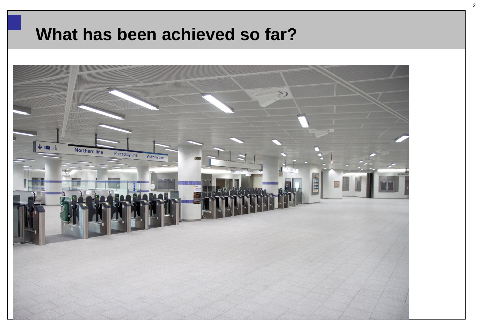## **What has been achieved so far?**

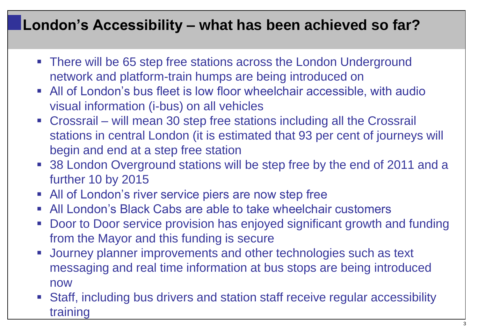#### **London's Accessibility – what has been achieved so far?**

- There will be 65 step free stations across the London Underground network and platform-train humps are being introduced on
- All of London's bus fleet is low floor wheelchair accessible, with audio visual information (i-bus) on all vehicles
- Crossrail will mean 30 step free stations including all the Crossrail stations in central London (it is estimated that 93 per cent of journeys will begin and end at a step free station
- 38 London Overground stations will be step free by the end of 2011 and a further 10 by 2015
- **All of London's river service piers are now step free**
- All London's Black Cabs are able to take wheelchair customers
- Door to Door service provision has enjoyed significant growth and funding from the Mayor and this funding is secure
- **Journey planner improvements and other technologies such as text** messaging and real time information at bus stops are being introduced now
- Staff, including bus drivers and station staff receive regular accessibility training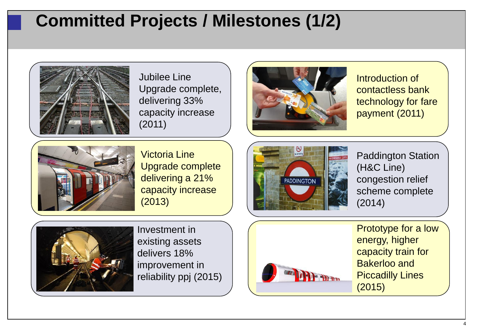# **Committed Projects / Milestones (1/2)**



Jubilee Line Upgrade complete, delivering 33% capacity increase (2011)



Introduction of contactless bank technology for fare payment (2011)



Victoria Line Upgrade complete delivering a 21% capacity increase (2013)



Paddington Station (H&C Line) congestion relief scheme complete (2014)



Investment in existing assets delivers 18% improvement in reliability ppj (2015)



Prototype for a low energy, higher capacity train for Bakerloo and Piccadilly Lines (2015)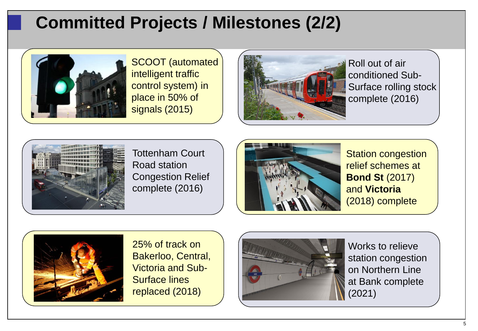# **Committed Projects / Milestones (2/2)**



SCOOT (automated intelligent traffic control system) in place in 50% of signals (2015)



Roll out of air conditioned Sub-Surface rolling stock complete (2016)



Tottenham Court Road station Congestion Relief complete (2016)



Station congestion relief schemes at **Bond St** (2017) and **Victoria** (2018) complete



25% of track on Bakerloo, Central, Victoria and Sub-Surface lines replaced (2018)



Works to relieve station congestion on Northern Line at Bank complete (2021)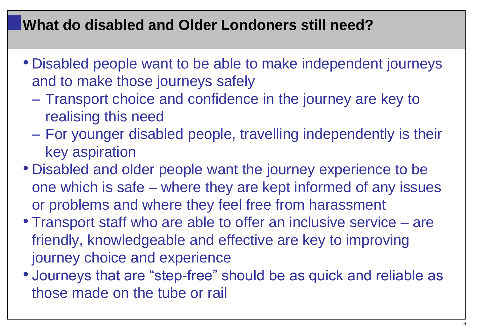#### **What do disabled and Older Londoners still need?**

- Disabled people want to be able to make independent journeys and to make those journeys safely
	- Transport choice and confidence in the journey are key to realising this need
	- For younger disabled people, travelling independently is their key aspiration
- Disabled and older people want the journey experience to be one which is safe – where they are kept informed of any issues or problems and where they feel free from harassment
- Transport staff who are able to offer an inclusive service are friendly, knowledgeable and effective are key to improving journey choice and experience
- Journeys that are "step-free" should be as quick and reliable as those made on the tube or rail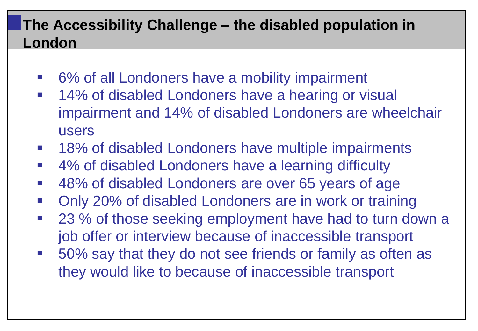#### **The Accessibility Challenge – the disabled population in London**

- 6% of all Londoners have a mobility impairment
- **14% of disabled Londoners have a hearing or visual** impairment and 14% of disabled Londoners are wheelchair users
- **18% of disabled Londoners have multiple impairments**
- 4% of disabled Londoners have a learning difficulty
- 48% of disabled Londoners are over 65 years of age
- Only 20% of disabled Londoners are in work or training
- 23 % of those seeking employment have had to turn down a job offer or interview because of inaccessible transport
- 50% say that they do not see friends or family as often as they would like to because of inaccessible transport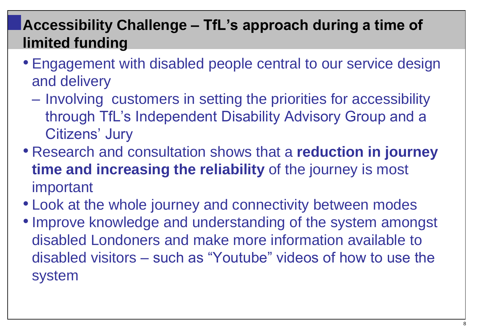## **Accessibility Challenge – TfL's approach during a time of limited funding**

- Engagement with disabled people central to our service design and delivery
	- Involving customers in setting the priorities for accessibility through TfL's Independent Disability Advisory Group and a Citizens' Jury
- Research and consultation shows that a **reduction in journey time and increasing the reliability** of the journey is most important
- Look at the whole journey and connectivity between modes
- •Improve knowledge and understanding of the system amongst disabled Londoners and make more information available to disabled visitors – such as "Youtube" videos of how to use the system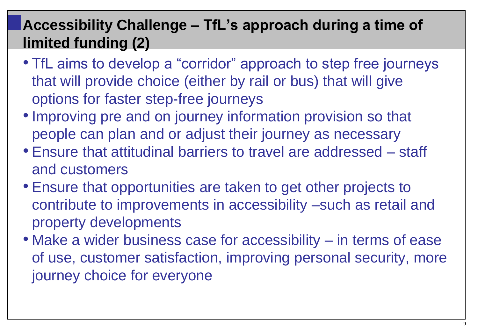## **Accessibility Challenge – TfL's approach during a time of limited funding (2)**

- TfL aims to develop a "corridor" approach to step free journeys that will provide choice (either by rail or bus) that will give options for faster step-free journeys
- •Improving pre and on journey information provision so that people can plan and or adjust their journey as necessary
- Ensure that attitudinal barriers to travel are addressed staff and customers
- Ensure that opportunities are taken to get other projects to contribute to improvements in accessibility –such as retail and property developments
- Make a wider business case for accessibility in terms of ease of use, customer satisfaction, improving personal security, more journey choice for everyone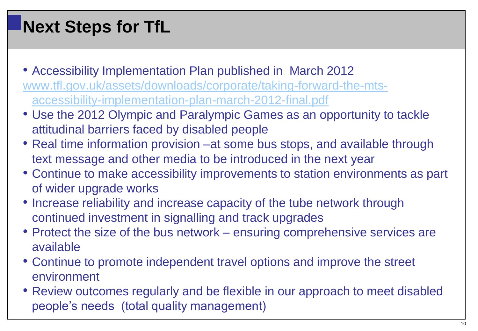# **Next Steps for TfL**

- Accessibility Implementation Plan published in March 2012 [www.tfl.gov.uk/assets/downloads/corporate/taking-forward-the-mts](http://www.tfl.gov.uk/assets/downloads/corporate/taking-forward-the-mts-accessibility-implementation-plan-march-2012-final.pdf)[accessibility-implementation-plan-march-2012-final.pdf](http://www.tfl.gov.uk/assets/downloads/corporate/taking-forward-the-mts-accessibility-implementation-plan-march-2012-final.pdf)
- Use the 2012 Olympic and Paralympic Games as an opportunity to tackle attitudinal barriers faced by disabled people
- Real time information provision –at some bus stops, and available through text message and other media to be introduced in the next year
- Continue to make accessibility improvements to station environments as part of wider upgrade works
- Increase reliability and increase capacity of the tube network through continued investment in signalling and track upgrades
- Protect the size of the bus network ensuring comprehensive services are available
- Continue to promote independent travel options and improve the street environment
- Review outcomes regularly and be flexible in our approach to meet disabled people's needs (total quality management)